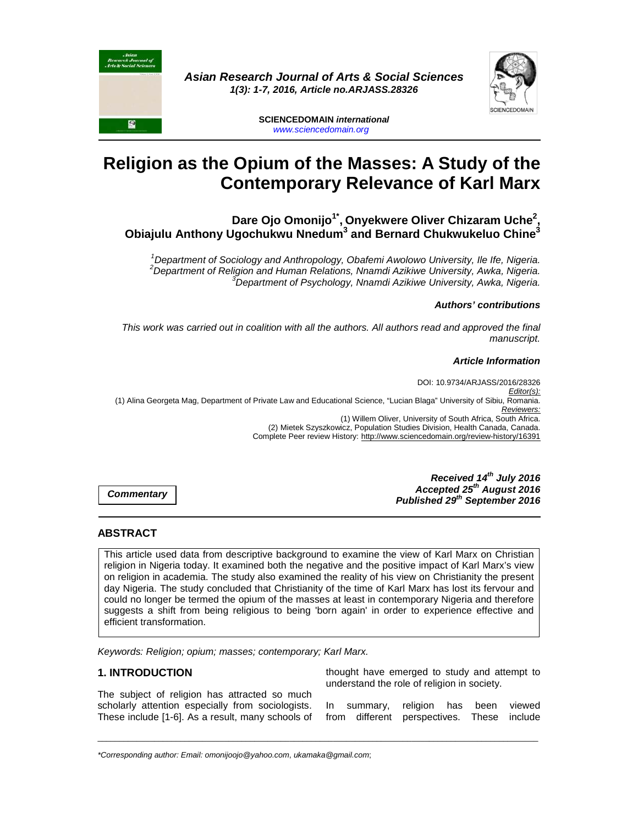



**SCIENCEDOMAIN international**  www.sciencedomain.org

# **Religion as the Opium of the Masses: A Study of the Contemporary Relevance of Karl Marx**

**Dare Ojo Omonijo1\* , Onyekwere Oliver Chizaram Uche<sup>2</sup> , Obiajulu Anthony Ugochukwu Nnedum<sup>3</sup> and Bernard Chukwukeluo Chine<sup>3</sup>**

 $1$ Department of Sociology and Anthropology, Obafemi Awolowo University, Ile Ife, Nigeria. <sup>2</sup>Department of Religion and Human Relations, Nnamdi Azikiwe University, Awka, Nigeria. <sup>3</sup>Department of Psychology, Nnamdi Azikiwe University, Awka, Nigeria.

#### **Authors' contributions**

This work was carried out in coalition with all the authors. All authors read and approved the final manuscript.

#### **Article Information**

DOI: 10.9734/ARJASS/2016/28326 Editor(s): (1) Alina Georgeta Mag, Department of Private Law and Educational Science, "Lucian Blaga" University of Sibiu, Romania. Reviewers: (1) Willem Oliver, University of South Africa, South Africa. (2) Mietek Szyszkowicz, Population Studies Division, Health Canada, Canada. Complete Peer review History: http://www.sciencedomain.org/review-history/16391

**Commentary**

**Received 14th July 2016 Accepted 25th August 2016 Published 29th September 2016**

#### **ABSTRACT**

This article used data from descriptive background to examine the view of Karl Marx on Christian religion in Nigeria today. It examined both the negative and the positive impact of Karl Marx's view on religion in academia. The study also examined the reality of his view on Christianity the present day Nigeria. The study concluded that Christianity of the time of Karl Marx has lost its fervour and could no longer be termed the opium of the masses at least in contemporary Nigeria and therefore suggests a shift from being religious to being 'born again' in order to experience effective and efficient transformation.

\_\_\_\_\_\_\_\_\_\_\_\_\_\_\_\_\_\_\_\_\_\_\_\_\_\_\_\_\_\_\_\_\_\_\_\_\_\_\_\_\_\_\_\_\_\_\_\_\_\_\_\_\_\_\_\_\_\_\_\_\_\_\_\_\_\_\_\_\_\_\_\_\_\_\_\_\_\_\_\_\_\_\_\_\_\_\_\_\_\_\_\_\_\_\_\_\_\_\_\_\_

Keywords: Religion; opium; masses; contemporary; Karl Marx.

## **1. INTRODUCTION**

The subject of religion has attracted so much scholarly attention especially from sociologists. These include [1-6]. As a result, many schools of thought have emerged to study and attempt to understand the role of religion in society.

In summary, religion has been viewed from different perspectives. These include

\*Corresponding author: Email: omonijoojo@yahoo.com, ukamaka@gmail.com;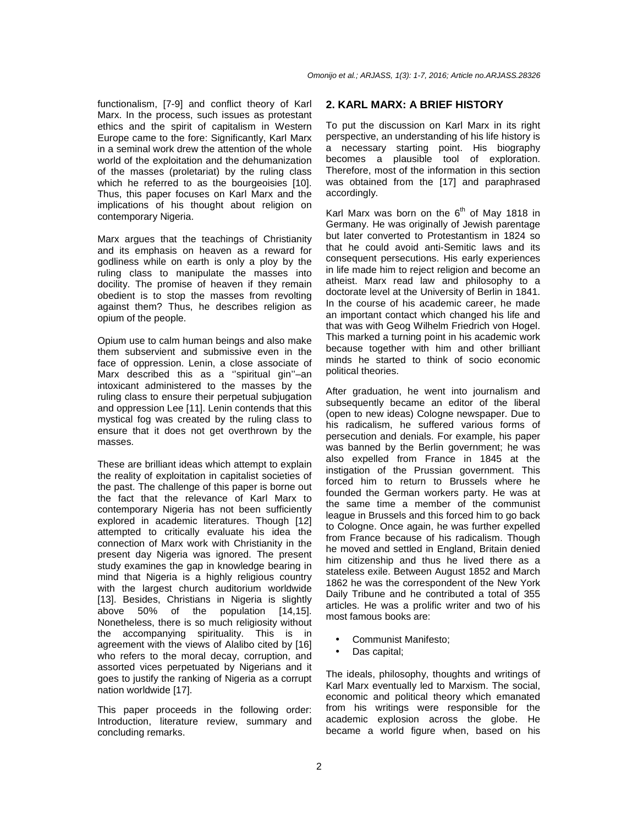functionalism, [7-9] and conflict theory of Karl Marx. In the process, such issues as protestant ethics and the spirit of capitalism in Western Europe came to the fore: Significantly, Karl Marx in a seminal work drew the attention of the whole world of the exploitation and the dehumanization of the masses (proletariat) by the ruling class which he referred to as the bourgeoisies [10]. Thus, this paper focuses on Karl Marx and the implications of his thought about religion on contemporary Nigeria.

Marx argues that the teachings of Christianity and its emphasis on heaven as a reward for godliness while on earth is only a ploy by the ruling class to manipulate the masses into docility. The promise of heaven if they remain obedient is to stop the masses from revolting against them? Thus, he describes religion as opium of the people.

Opium use to calm human beings and also make them subservient and submissive even in the face of oppression. Lenin, a close associate of Marx described this as a ''spiritual gin''–an intoxicant administered to the masses by the ruling class to ensure their perpetual subjugation and oppression Lee [11]. Lenin contends that this mystical fog was created by the ruling class to ensure that it does not get overthrown by the masses.

These are brilliant ideas which attempt to explain the reality of exploitation in capitalist societies of the past. The challenge of this paper is borne out the fact that the relevance of Karl Marx to contemporary Nigeria has not been sufficiently explored in academic literatures. Though [12] attempted to critically evaluate his idea the connection of Marx work with Christianity in the present day Nigeria was ignored. The present study examines the gap in knowledge bearing in mind that Nigeria is a highly religious country with the largest church auditorium worldwide [13]. Besides, Christians in Nigeria is slightly above 50% of the population [14,15]. Nonetheless, there is so much religiosity without the accompanying spirituality. This is in agreement with the views of Alalibo cited by [16] who refers to the moral decay, corruption, and assorted vices perpetuated by Nigerians and it goes to justify the ranking of Nigeria as a corrupt nation worldwide [17].

This paper proceeds in the following order: Introduction, literature review, summary and concluding remarks.

#### **2. KARL MARX: A BRIEF HISTORY**

To put the discussion on Karl Marx in its right perspective, an understanding of his life history is a necessary starting point. His biography becomes a plausible tool of exploration. Therefore, most of the information in this section was obtained from the [17] and paraphrased accordingly.

Karl Marx was born on the  $6<sup>th</sup>$  of May 1818 in Germany. He was originally of Jewish parentage but later converted to Protestantism in 1824 so that he could avoid anti-Semitic laws and its consequent persecutions. His early experiences in life made him to reject religion and become an atheist. Marx read law and philosophy to a doctorate level at the University of Berlin in 1841. In the course of his academic career, he made an important contact which changed his life and that was with Geog Wilhelm Friedrich von Hogel. This marked a turning point in his academic work because together with him and other brilliant minds he started to think of socio economic political theories.

After graduation, he went into journalism and subsequently became an editor of the liberal (open to new ideas) Cologne newspaper. Due to his radicalism, he suffered various forms of persecution and denials. For example, his paper was banned by the Berlin government; he was also expelled from France in 1845 at the instigation of the Prussian government. This forced him to return to Brussels where he founded the German workers party. He was at the same time a member of the communist league in Brussels and this forced him to go back to Cologne. Once again, he was further expelled from France because of his radicalism. Though he moved and settled in England, Britain denied him citizenship and thus he lived there as a stateless exile. Between August 1852 and March 1862 he was the correspondent of the New York Daily Tribune and he contributed a total of 355 articles. He was a prolific writer and two of his most famous books are:

- Communist Manifesto;
- Das capital;

The ideals, philosophy, thoughts and writings of Karl Marx eventually led to Marxism. The social, economic and political theory which emanated from his writings were responsible for the academic explosion across the globe. He became a world figure when, based on his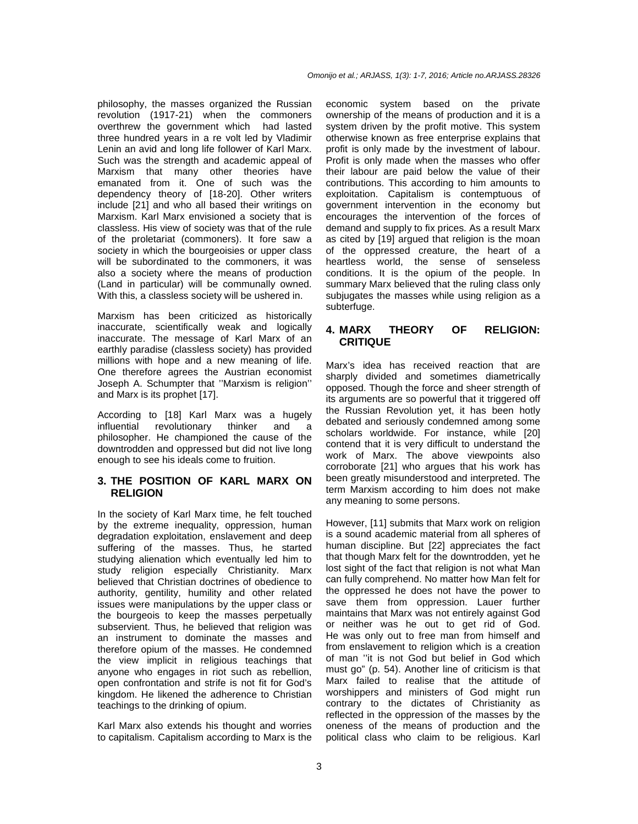philosophy, the masses organized the Russian revolution (1917-21) when the commoners overthrew the government which had lasted three hundred years in a re volt led by Vladimir Lenin an avid and long life follower of Karl Marx. Such was the strength and academic appeal of Marxism that many other theories have emanated from it. One of such was the dependency theory of [18-20]. Other writers include [21] and who all based their writings on Marxism. Karl Marx envisioned a society that is classless. His view of society was that of the rule of the proletariat (commoners). It fore saw a society in which the bourgeoisies or upper class will be subordinated to the commoners, it was also a society where the means of production (Land in particular) will be communally owned. With this, a classless society will be ushered in.

Marxism has been criticized as historically inaccurate, scientifically weak and logically inaccurate. The message of Karl Marx of an earthly paradise (classless society) has provided millions with hope and a new meaning of life. One therefore agrees the Austrian economist Joseph A. Schumpter that ''Marxism is religion'' and Marx is its prophet [17].

According to [18] Karl Marx was a hugely influential revolutionary thinker and a philosopher. He championed the cause of the downtrodden and oppressed but did not live long enough to see his ideals come to fruition.

## **3. THE POSITION OF KARL MARX ON RELIGION**

In the society of Karl Marx time, he felt touched by the extreme inequality, oppression, human degradation exploitation, enslavement and deep suffering of the masses. Thus, he started studying alienation which eventually led him to study religion especially Christianity. Marx believed that Christian doctrines of obedience to authority, gentility, humility and other related issues were manipulations by the upper class or the bourgeois to keep the masses perpetually subservient. Thus, he believed that religion was an instrument to dominate the masses and therefore opium of the masses. He condemned the view implicit in religious teachings that anyone who engages in riot such as rebellion, open confrontation and strife is not fit for God's kingdom. He likened the adherence to Christian teachings to the drinking of opium.

Karl Marx also extends his thought and worries to capitalism. Capitalism according to Marx is the economic system based on the private ownership of the means of production and it is a system driven by the profit motive. This system otherwise known as free enterprise explains that profit is only made by the investment of labour. Profit is only made when the masses who offer their labour are paid below the value of their contributions. This according to him amounts to exploitation. Capitalism is contemptuous of government intervention in the economy but encourages the intervention of the forces of demand and supply to fix prices. As a result Marx as cited by [19] argued that religion is the moan of the oppressed creature, the heart of a heartless world, the sense of senseless conditions. It is the opium of the people. In summary Marx believed that the ruling class only subjugates the masses while using religion as a subterfuge.

## **4. MARX THEORY OF RELIGION: CRITIQUE**

Marx's idea has received reaction that are sharply divided and sometimes diametrically opposed. Though the force and sheer strength of its arguments are so powerful that it triggered off the Russian Revolution yet, it has been hotly debated and seriously condemned among some scholars worldwide. For instance, while [20] contend that it is very difficult to understand the work of Marx. The above viewpoints also corroborate [21] who argues that his work has been greatly misunderstood and interpreted. The term Marxism according to him does not make any meaning to some persons.

However, [11] submits that Marx work on religion is a sound academic material from all spheres of human discipline. But [22] appreciates the fact that though Marx felt for the downtrodden, yet he lost sight of the fact that religion is not what Man can fully comprehend. No matter how Man felt for the oppressed he does not have the power to save them from oppression. Lauer further maintains that Marx was not entirely against God or neither was he out to get rid of God. He was only out to free man from himself and from enslavement to religion which is a creation of man ''it is not God but belief in God which must go" (p. 54). Another line of criticism is that Marx failed to realise that the attitude of worshippers and ministers of God might run contrary to the dictates of Christianity as reflected in the oppression of the masses by the oneness of the means of production and the political class who claim to be religious. Karl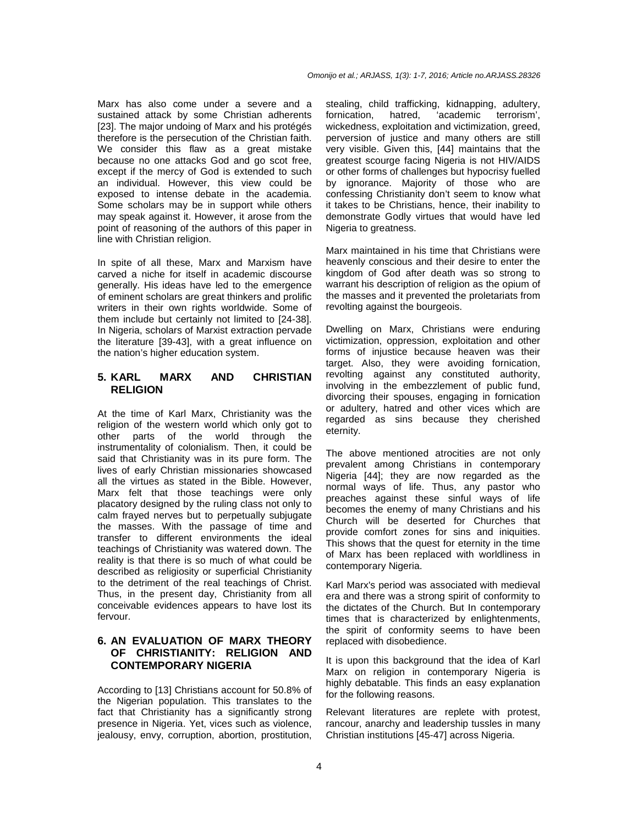Marx has also come under a severe and a sustained attack by some Christian adherents [23]. The major undoing of Marx and his protégés therefore is the persecution of the Christian faith. We consider this flaw as a great mistake because no one attacks God and go scot free, except if the mercy of God is extended to such an individual. However, this view could be exposed to intense debate in the academia. Some scholars may be in support while others may speak against it. However, it arose from the point of reasoning of the authors of this paper in line with Christian religion.

In spite of all these, Marx and Marxism have carved a niche for itself in academic discourse generally. His ideas have led to the emergence of eminent scholars are great thinkers and prolific writers in their own rights worldwide. Some of them include but certainly not limited to [24-38]. In Nigeria, scholars of Marxist extraction pervade the literature [39-43], with a great influence on the nation's higher education system.

## **5. KARL MARX AND CHRISTIAN RELIGION**

At the time of Karl Marx, Christianity was the religion of the western world which only got to other parts of the world through the instrumentality of colonialism. Then, it could be said that Christianity was in its pure form. The lives of early Christian missionaries showcased all the virtues as stated in the Bible. However, Marx felt that those teachings were only placatory designed by the ruling class not only to calm frayed nerves but to perpetually subjugate the masses. With the passage of time and transfer to different environments the ideal teachings of Christianity was watered down. The reality is that there is so much of what could be described as religiosity or superficial Christianity to the detriment of the real teachings of Christ. Thus, in the present day, Christianity from all conceivable evidences appears to have lost its fervour.

# **6. AN EVALUATION OF MARX THEORY OF CHRISTIANITY: RELIGION AND CONTEMPORARY NIGERIA**

According to [13] Christians account for 50.8% of the Nigerian population. This translates to the fact that Christianity has a significantly strong presence in Nigeria. Yet, vices such as violence, jealousy, envy, corruption, abortion, prostitution, stealing, child trafficking, kidnapping, adultery, fornication, hatred, 'academic terrorism', wickedness, exploitation and victimization, greed, perversion of justice and many others are still very visible. Given this, [44] maintains that the greatest scourge facing Nigeria is not HIV/AIDS or other forms of challenges but hypocrisy fuelled by ignorance. Majority of those who are confessing Christianity don't seem to know what it takes to be Christians, hence, their inability to demonstrate Godly virtues that would have led Nigeria to greatness.

Marx maintained in his time that Christians were heavenly conscious and their desire to enter the kingdom of God after death was so strong to warrant his description of religion as the opium of the masses and it prevented the proletariats from revolting against the bourgeois.

Dwelling on Marx, Christians were enduring victimization, oppression, exploitation and other forms of injustice because heaven was their target. Also, they were avoiding fornication, revolting against any constituted authority, involving in the embezzlement of public fund, divorcing their spouses, engaging in fornication or adultery, hatred and other vices which are regarded as sins because they cherished eternity.

The above mentioned atrocities are not only prevalent among Christians in contemporary Nigeria [44]; they are now regarded as the normal ways of life. Thus, any pastor who preaches against these sinful ways of life becomes the enemy of many Christians and his Church will be deserted for Churches that provide comfort zones for sins and iniquities. This shows that the quest for eternity in the time of Marx has been replaced with worldliness in contemporary Nigeria.

Karl Marx's period was associated with medieval era and there was a strong spirit of conformity to the dictates of the Church. But In contemporary times that is characterized by enlightenments, the spirit of conformity seems to have been replaced with disobedience.

It is upon this background that the idea of Karl Marx on religion in contemporary Nigeria is highly debatable. This finds an easy explanation for the following reasons.

Relevant literatures are replete with protest, rancour, anarchy and leadership tussles in many Christian institutions [45-47] across Nigeria.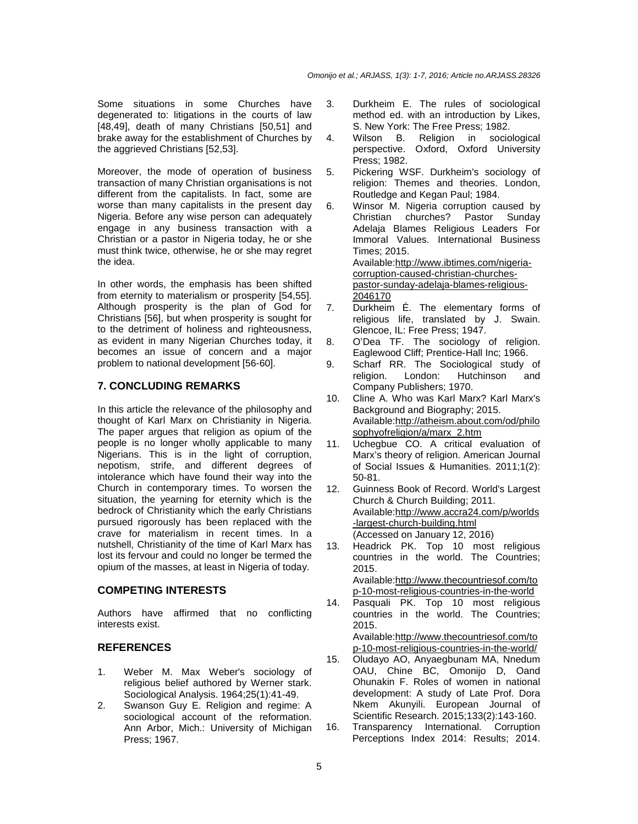Some situations in some Churches have degenerated to: litigations in the courts of law [48,49], death of many Christians [50,51] and brake away for the establishment of Churches by the aggrieved Christians [52,53].

Moreover, the mode of operation of business transaction of many Christian organisations is not different from the capitalists. In fact, some are worse than many capitalists in the present day Nigeria. Before any wise person can adequately engage in any business transaction with a Christian or a pastor in Nigeria today, he or she must think twice, otherwise, he or she may regret the idea.

In other words, the emphasis has been shifted from eternity to materialism or prosperity [54,55]. Although prosperity is the plan of God for Christians [56], but when prosperity is sought for to the detriment of holiness and righteousness, as evident in many Nigerian Churches today, it becomes an issue of concern and a major problem to national development [56-60].

## **7. CONCLUDING REMARKS**

In this article the relevance of the philosophy and thought of Karl Marx on Christianity in Nigeria. The paper argues that religion as opium of the people is no longer wholly applicable to many Nigerians. This is in the light of corruption, nepotism, strife, and different degrees of intolerance which have found their way into the Church in contemporary times. To worsen the situation, the yearning for eternity which is the bedrock of Christianity which the early Christians pursued rigorously has been replaced with the crave for materialism in recent times. In a nutshell, Christianity of the time of Karl Marx has lost its fervour and could no longer be termed the opium of the masses, at least in Nigeria of today.

## **COMPETING INTERESTS**

Authors have affirmed that no conflicting interests exist.

#### **REFERENCES**

- 1. Weber M. Max Weber's sociology of religious belief authored by Werner stark. Sociological Analysis. 1964;25(1):41-49.
- 2. Swanson Guy E. Religion and regime: A sociological account of the reformation. Ann Arbor, Mich.: University of Michigan Press; 1967.
- 3. Durkheim E. The rules of sociological method ed. with an introduction by Likes, S. New York: The Free Press; 1982.
- 4. Wilson B. Religion in sociological perspective. Oxford, Oxford University Press; 1982.
- 5. Pickering WSF. Durkheim's sociology of religion: Themes and theories. London, Routledge and Kegan Paul; 1984.
- 6. Winsor M. Nigeria corruption caused by Christian churches? Pastor Sunday Adelaja Blames Religious Leaders For Immoral Values. International Business Times; 2015. Available:http://www.ibtimes.com/nigeriacorruption-caused-christian-churchespastor-sunday-adelaja-blames-religious-2046170
- 7. Durkheim É. The elementary forms of religious life, translated by J. Swain. Glencoe, IL: Free Press; 1947.
- 8. O'Dea TF. The sociology of religion. Eaglewood Cliff; Prentice-Hall Inc; 1966.
- 9. Scharf RR. The Sociological study of religion. London: Hutchinson and Company Publishers; 1970.
- 10. Cline A. Who was Karl Marx? Karl Marx's Background and Biography; 2015. Available:http://atheism.about.com/od/philo sophyofreligion/a/marx\_2.htm
- 11. Uchegbue CO. A critical evaluation of Marx's theory of religion. American Journal of Social Issues & Humanities. 2011;1(2): 50-81.
- 12. Guinness Book of Record. World's Largest Church & Church Building; 2011. Available:http://www.accra24.com/p/worlds -largest-church-building.html (Accessed on January 12, 2016)
- 13. Headrick PK. Top 10 most religious countries in the world. The Countries; 2015. Available:http://www.thecountriesof.com/to p-10-most-religious-countries-in-the-world
- 14. Pasquali PK. Top 10 most religious countries in the world. The Countries; 2015.

Available:http://www.thecountriesof.com/to p-10-most-religious-countries-in-the-world/

- 15. Oludayo AO, Anyaegbunam MA, Nnedum OAU, Chine BC, Omonijo D, Oand Ohunakin F. Roles of women in national development: A study of Late Prof. Dora Nkem Akunyili. European Journal of Scientific Research. 2015;133(2):143-160.
- 16. Transparency International. Corruption Perceptions Index 2014: Results; 2014.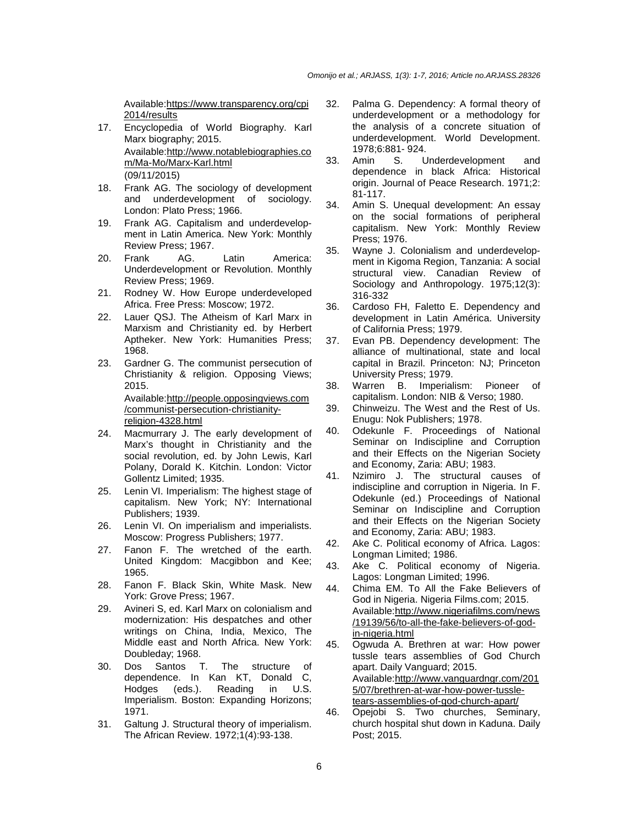Available:https://www.transparency.org/cpi 2014/results

- 17. Encyclopedia of World Biography. Karl Marx biography; 2015. Available:http://www.notablebiographies.co m/Ma-Mo/Marx-Karl.html (09/11/2015)
- 18. Frank AG. The sociology of development and underdevelopment of sociology. London: Plato Press; 1966.
- 19. Frank AG. Capitalism and underdevelopment in Latin America. New York: Monthly Review Press; 1967.
- 20. Frank AG. Latin America: Underdevelopment or Revolution. Monthly Review Press; 1969.
- 21. Rodney W. How Europe underdeveloped Africa. Free Press: Moscow; 1972.
- 22. Lauer QSJ. The Atheism of Karl Marx in Marxism and Christianity ed. by Herbert Aptheker. New York: Humanities Press; 1968.
- 23. Gardner G. The communist persecution of Christianity & religion. Opposing Views; 2015. Available:http://people.opposingviews.com /communist-persecution-christianity-

religion-4328.html

- 24. Macmurrary J. The early development of Marx's thought in Christianity and the social revolution, ed. by John Lewis, Karl Polany, Dorald K. Kitchin. London: Victor Gollentz Limited; 1935.
- 25. Lenin VI. Imperialism: The highest stage of capitalism. New York; NY: International Publishers; 1939.
- 26. Lenin VI. On imperialism and imperialists. Moscow: Progress Publishers; 1977.
- 27. Fanon F. The wretched of the earth. United Kingdom: Macgibbon and Kee; 1965.
- 28. Fanon F. Black Skin, White Mask. New York: Grove Press; 1967.
- 29. Avineri S, ed. Karl Marx on colonialism and modernization: His despatches and other writings on China, India, Mexico, The Middle east and North Africa. New York: Doubleday; 1968.
- 30. Dos Santos T. The structure of dependence. In Kan KT, Donald C, Hodges (eds.). Reading in U.S. Imperialism. Boston: Expanding Horizons; 1971.
- 31. Galtung J. Structural theory of imperialism. The African Review. 1972;1(4):93-138.
- 32. Palma G. Dependency: A formal theory of underdevelopment or a methodology for the analysis of a concrete situation of underdevelopment. World Development. 1978;6:881- 924.
- 33. Amin S. Underdevelopment and dependence in black Africa: Historical origin. Journal of Peace Research. 1971;2: 81-117.
- 34. Amin S. Unequal development: An essay on the social formations of peripheral capitalism. New York: Monthly Review Press; 1976.
- 35. Wayne J. Colonialism and underdevelopment in Kigoma Region, Tanzania: A social structural view. Canadian Review of Sociology and Anthropology. 1975;12(3): 316-332
- 36. Cardoso FH, Faletto E. Dependency and development in Latin América. University of California Press; 1979.
- 37. Evan PB. Dependency development: The alliance of multinational, state and local capital in Brazil. Princeton: NJ; Princeton University Press; 1979.
- 38. Warren B. Imperialism: Pioneer of capitalism. London: NIB & Verso; 1980.
- 39. Chinweizu. The West and the Rest of Us. Enugu: Nok Publishers; 1978.
- 40. Odekunle F. Proceedings of National Seminar on Indiscipline and Corruption and their Effects on the Nigerian Society and Economy, Zaria: ABU; 1983.
- 41. Nzimiro J. The structural causes of indiscipline and corruption in Nigeria. In F. Odekunle (ed.) Proceedings of National Seminar on Indiscipline and Corruption and their Effects on the Nigerian Society and Economy, Zaria: ABU; 1983.
- 42. Ake C. Political economy of Africa. Lagos: Longman Limited; 1986.
- 43. Ake C. Political economy of Nigeria. Lagos: Longman Limited; 1996.
- 44. Chima EM. To All the Fake Believers of God in Nigeria. Nigeria Films.com; 2015. Available:http://www.nigeriafilms.com/news /19139/56/to-all-the-fake-believers-of-godin-nigeria.html
- 45. Ogwuda A. Brethren at war: How power tussle tears assemblies of God Church apart. Daily Vanguard; 2015. Available:http://www.vanguardngr.com/201 5/07/brethren-at-war-how-power-tussletears-assemblies-of-god-church-apart/
- 46. Opejobi S. Two churches, Seminary, church hospital shut down in Kaduna. Daily Post; 2015.